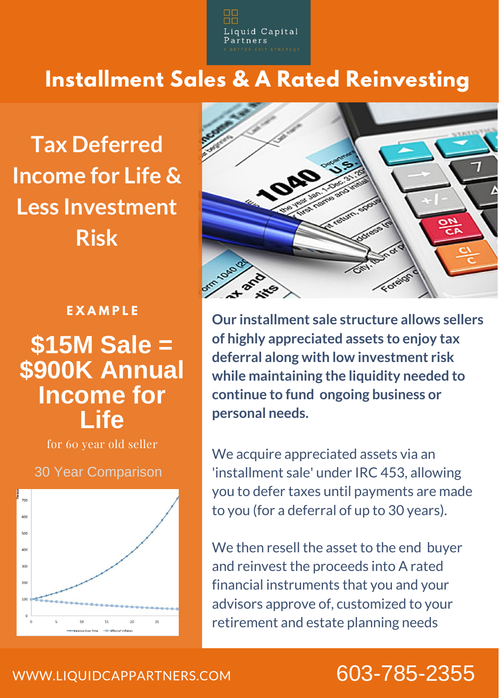quid Capital

## **Installment Sales & A Rated Reinvesting**

**Tax Deferred Income for Life & Less Investment Risk**

### **E X A M P L E**

# **\$15M Sale = \$900K Annual Income for Life**

for 60 year old seller

#### 30 Year Comparison





**Our installment sale structure allows sellers of highly appreciated assets to enjoy tax deferral along with low investment risk while maintaining the liquidity needed to continue to fund ongoing business or personal needs.**

We acquire appreciated assets via an 'installment sale' under IRC 453, allowing you to defer taxes until payments are made to you (for a deferral of up to 30 years).

We then resell the asset to the end buyer and reinvest the proceeds into A rated financial instruments that you and your advisors approve of, customized to your retirement and estate planning needs

## 603-785-2355

### [WWW.LIQUIDCAPPARTNERS.COM](http://www.slimstrategic.com/)